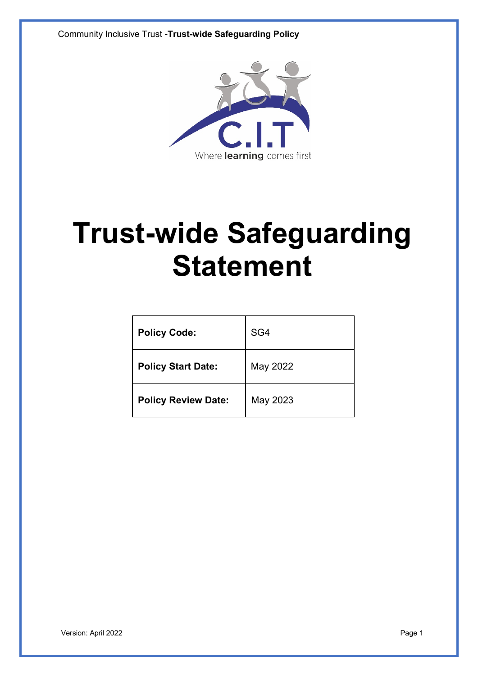Community Inclusive Trust -**Trust-wide Safeguarding Policy**



# **Trust-wide Safeguarding Statement**

| <b>Policy Code:</b>        | SG4      |
|----------------------------|----------|
| <b>Policy Start Date:</b>  | May 2022 |
| <b>Policy Review Date:</b> | May 2023 |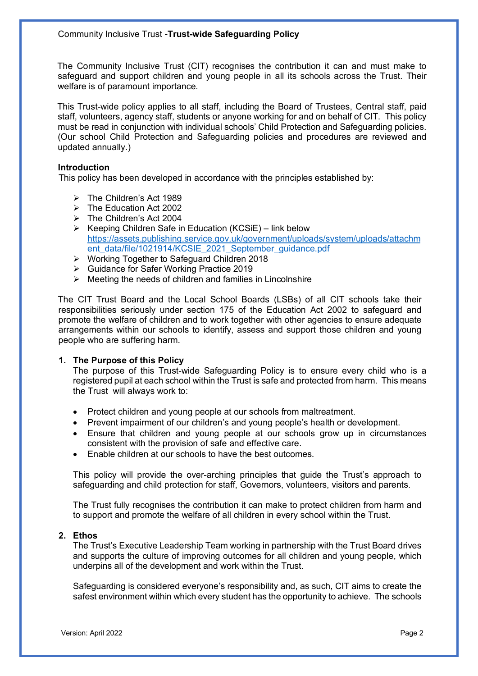The Community Inclusive Trust (CIT) recognises the contribution it can and must make to safeguard and support children and young people in all its schools across the Trust. Their welfare is of paramount importance.

This Trust-wide policy applies to all staff, including the Board of Trustees, Central staff, paid staff, volunteers, agency staff, students or anyone working for and on behalf of CIT. This policy must be read in conjunction with individual schools' Child Protection and Safeguarding policies. (Our school Child Protection and Safeguarding policies and procedures are reviewed and updated annually.)

## **Introduction**

This policy has been developed in accordance with the principles established by:

- $\triangleright$  The Children's Act 1989
- $\triangleright$  The Education Act 2002
- $\triangleright$  The Children's Act 2004
- $\triangleright$  Keeping Children Safe in Education (KCSiE) link below https://assets.publishing.service.gov.uk/government/uploads/system/uploads/attachm ent\_data/file/1021914/KCSIE\_2021\_September\_guidance.pdf
- Ø Working Together to Safeguard Children 2018
- Ø Guidance for Safer Working Practice 2019
- $\triangleright$  Meeting the needs of children and families in Lincolnshire

The CIT Trust Board and the Local School Boards (LSBs) of all CIT schools take their responsibilities seriously under section 175 of the Education Act 2002 to safeguard and promote the welfare of children and to work together with other agencies to ensure adequate arrangements within our schools to identify, assess and support those children and young people who are suffering harm.

#### **1. The Purpose of this Policy**

The purpose of this Trust-wide Safeguarding Policy is to ensure every child who is a registered pupil at each school within the Trust is safe and protected from harm. This means the Trust will always work to:

- Protect children and young people at our schools from maltreatment.
- Prevent impairment of our children's and young people's health or development.
- Ensure that children and young people at our schools grow up in circumstances consistent with the provision of safe and effective care.
- Enable children at our schools to have the best outcomes.

This policy will provide the over-arching principles that guide the Trust's approach to safeguarding and child protection for staff, Governors, volunteers, visitors and parents.

The Trust fully recognises the contribution it can make to protect children from harm and to support and promote the welfare of all children in every school within the Trust.

#### **2. Ethos**

The Trust's Executive Leadership Team working in partnership with the Trust Board drives and supports the culture of improving outcomes for all children and young people, which underpins all of the development and work within the Trust.

Safeguarding is considered everyone's responsibility and, as such, CIT aims to create the safest environment within which every student has the opportunity to achieve. The schools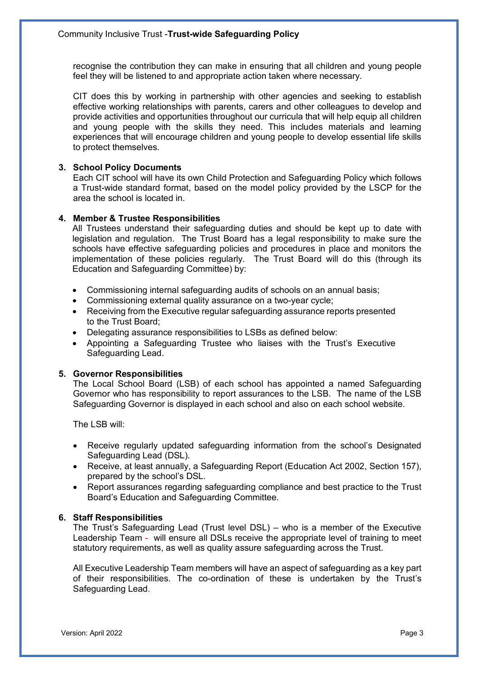recognise the contribution they can make in ensuring that all children and young people feel they will be listened to and appropriate action taken where necessary.

CIT does this by working in partnership with other agencies and seeking to establish effective working relationships with parents, carers and other colleagues to develop and provide activities and opportunities throughout our curricula that will help equip all children and young people with the skills they need. This includes materials and learning experiences that will encourage children and young people to develop essential life skills to protect themselves.

# **3. School Policy Documents**

Each CIT school will have its own Child Protection and Safeguarding Policy which follows a Trust-wide standard format, based on the model policy provided by the LSCP for the area the school is located in.

# **4. Member & Trustee Responsibilities**

All Trustees understand their safeguarding duties and should be kept up to date with legislation and regulation. The Trust Board has a legal responsibility to make sure the schools have effective safeguarding policies and procedures in place and monitors the implementation of these policies regularly. The Trust Board will do this (through its Education and Safeguarding Committee) by:

- Commissioning internal safeguarding audits of schools on an annual basis;
- Commissioning external quality assurance on a two-year cycle;
- Receiving from the Executive regular safeguarding assurance reports presented to the Trust Board;
- Delegating assurance responsibilities to LSBs as defined below:
- Appointing a Safeguarding Trustee who liaises with the Trust's Executive Safeguarding Lead.

#### **5. Governor Responsibilities**

The Local School Board (LSB) of each school has appointed a named Safeguarding Governor who has responsibility to report assurances to the LSB. The name of the LSB Safeguarding Governor is displayed in each school and also on each school website.

The LSB will:

- Receive regularly updated safeguarding information from the school's Designated Safeguarding Lead (DSL).
- Receive, at least annually, a Safeguarding Report (Education Act 2002, Section 157), prepared by the school's DSL.
- Report assurances regarding safeguarding compliance and best practice to the Trust Board's Education and Safeguarding Committee.

#### **6. Staff Responsibilities**

The Trust's Safeguarding Lead (Trust level DSL) – who is a member of the Executive Leadership Team - will ensure all DSLs receive the appropriate level of training to meet statutory requirements, as well as quality assure safeguarding across the Trust.

All Executive Leadership Team members will have an aspect of safeguarding as a key part of their responsibilities. The co-ordination of these is undertaken by the Trust's Safeguarding Lead.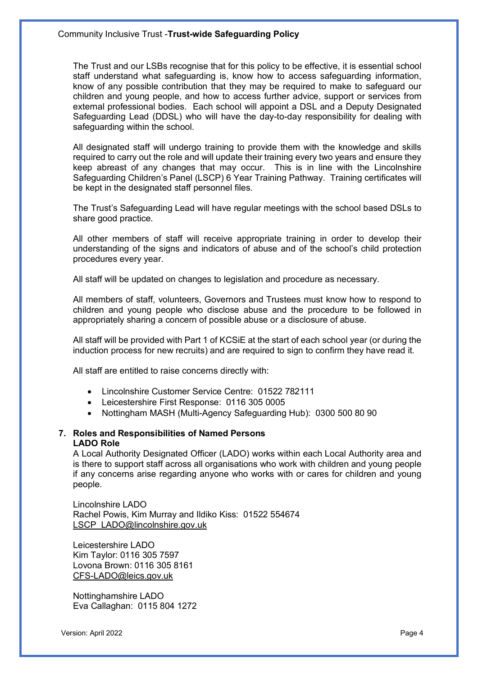The Trust and our LSBs recognise that for this policy to be effective, it is essential school staff understand what safeguarding is, know how to access safeguarding information, know of any possible contribution that they may be required to make to safeguard our children and young people, and how to access further advice, support or services from external professional bodies. Each school will appoint a DSL and a Deputy Designated Safeguarding Lead (DDSL) who will have the day-to-day responsibility for dealing with safeguarding within the school.

All designated staff will undergo training to provide them with the knowledge and skills required to carry out the role and will update their training every two years and ensure they keep abreast of any changes that may occur. This is in line with the Lincolnshire Safeguarding Children's Panel (LSCP) 6 Year Training Pathway. Training certificates will be kept in the designated staff personnel files.

The Trust's Safeguarding Lead will have regular meetings with the school based DSLs to share good practice.

All other members of staff will receive appropriate training in order to develop their understanding of the signs and indicators of abuse and of the school's child protection procedures every year.

All staff will be updated on changes to legislation and procedure as necessary.

All members of staff, volunteers, Governors and Trustees must know how to respond to children and young people who disclose abuse and the procedure to be followed in appropriately sharing a concern of possible abuse or a disclosure of abuse.

All staff will be provided with Part 1 of KCSiE at the start of each school year (or during the induction process for new recruits) and are required to sign to confirm they have read it.

All staff are entitled to raise concerns directly with:

- Lincolnshire Customer Service Centre: 01522 782111
- Leicestershire First Response: 0116 305 0005
- Nottingham MASH (Multi-Agency Safeguarding Hub): 0300 500 80 90

#### **7. Roles and Responsibilities of Named Persons LADO Role**

A Local Authority Designated Officer (LADO) works within each Local Authority area and is there to support staff across all organisations who work with children and young people if any concerns arise regarding anyone who works with or cares for children and young people.

Lincolnshire LADO Rachel Powis, Kim Murray and Ildiko Kiss: 01522 554674 LSCP\_LADO@lincolnshire.gov.uk

Leicestershire LADO Kim Taylor: 0116 305 7597 Lovona Brown: 0116 305 8161 CFS-LADO@leics.gov.uk

Nottinghamshire LADO Eva Callaghan: 0115 804 1272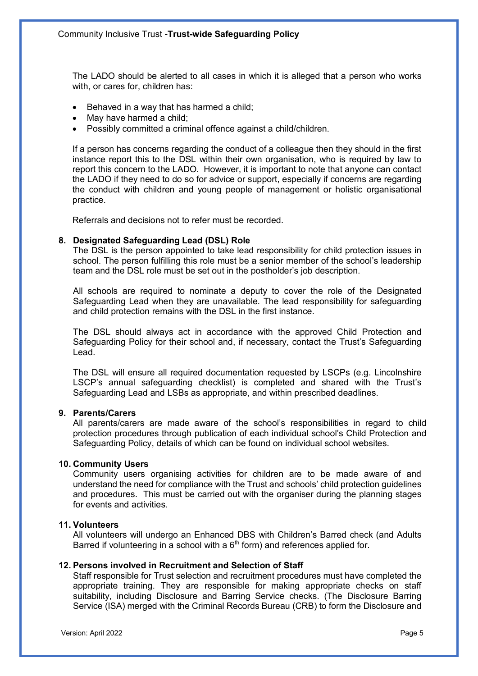The LADO should be alerted to all cases in which it is alleged that a person who works with, or cares for, children has:

- Behaved in a way that has harmed a child;
- May have harmed a child;
- Possibly committed a criminal offence against a child/children.

If a person has concerns regarding the conduct of a colleague then they should in the first instance report this to the DSL within their own organisation, who is required by law to report this concern to the LADO. However, it is important to note that anyone can contact the LADO if they need to do so for advice or support, especially if concerns are regarding the conduct with children and young people of management or holistic organisational practice.

Referrals and decisions not to refer must be recorded.

# **8. Designated Safeguarding Lead (DSL) Role**

The DSL is the person appointed to take lead responsibility for child protection issues in school. The person fulfilling this role must be a senior member of the school's leadership team and the DSL role must be set out in the postholder's job description.

All schools are required to nominate a deputy to cover the role of the Designated Safeguarding Lead when they are unavailable. The lead responsibility for safeguarding and child protection remains with the DSL in the first instance.

The DSL should always act in accordance with the approved Child Protection and Safeguarding Policy for their school and, if necessary, contact the Trust's Safeguarding Lead.

The DSL will ensure all required documentation requested by LSCPs (e.g. Lincolnshire LSCP's annual safeguarding checklist) is completed and shared with the Trust's Safeguarding Lead and LSBs as appropriate, and within prescribed deadlines.

## **9. Parents/Carers**

All parents/carers are made aware of the school's responsibilities in regard to child protection procedures through publication of each individual school's Child Protection and Safeguarding Policy, details of which can be found on individual school websites.

#### **10. Community Users**

Community users organising activities for children are to be made aware of and understand the need for compliance with the Trust and schools' child protection guidelines and procedures. This must be carried out with the organiser during the planning stages for events and activities.

## **11. Volunteers**

All volunteers will undergo an Enhanced DBS with Children's Barred check (and Adults Barred if volunteering in a school with a  $6<sup>th</sup>$  form) and references applied for.

#### **12. Persons involved in Recruitment and Selection of Staff**

Staff responsible for Trust selection and recruitment procedures must have completed the appropriate training. They are responsible for making appropriate checks on staff suitability, including Disclosure and Barring Service checks. (The Disclosure Barring Service (ISA) merged with the Criminal Records Bureau (CRB) to form the Disclosure and